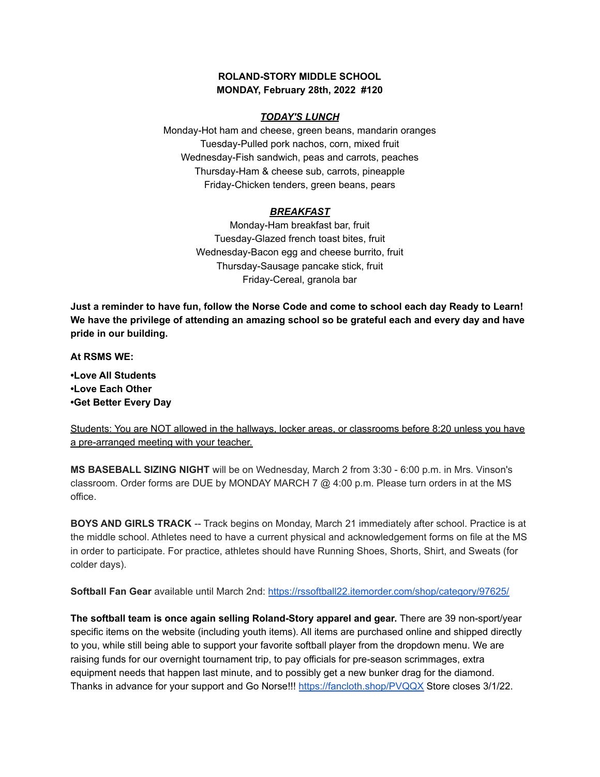## **ROLAND-STORY MIDDLE SCHOOL MONDAY, February 28th, 2022 #120**

## *TODAY'S LUNCH*

Monday-Hot ham and cheese, green beans, mandarin oranges Tuesday-Pulled pork nachos, corn, mixed fruit Wednesday-Fish sandwich, peas and carrots, peaches Thursday-Ham & cheese sub, carrots, pineapple Friday-Chicken tenders, green beans, pears

## *BREAKFAST*

Monday-Ham breakfast bar, fruit Tuesday-Glazed french toast bites, fruit Wednesday-Bacon egg and cheese burrito, fruit Thursday-Sausage pancake stick, fruit Friday-Cereal, granola bar

Just a reminder to have fun, follow the Norse Code and come to school each day Ready to Learn! **We have the privilege of attending an amazing school so be grateful each and every day and have pride in our building.**

**At RSMS WE:**

**•Love All Students •Love Each Other •Get Better Every Day**

Students: You are NOT allowed in the hallways, locker areas, or classrooms before 8:20 unless you have a pre-arranged meeting with your teacher.

**MS BASEBALL SIZING NIGHT** will be on Wednesday, March 2 from 3:30 - 6:00 p.m. in Mrs. Vinson's classroom. Order forms are DUE by MONDAY MARCH 7 @ 4:00 p.m. Please turn orders in at the MS office.

**BOYS AND GIRLS TRACK** -- Track begins on Monday, March 21 immediately after school. Practice is at the middle school. Athletes need to have a current physical and acknowledgement forms on file at the MS in order to participate. For practice, athletes should have Running Shoes, Shorts, Shirt, and Sweats (for colder days).

**Softball Fan Gear** available until March 2nd: <https://rssoftball22.itemorder.com/shop/category/97625/>

**The softball team is once again selling Roland-Story apparel and gear.** There are 39 non-sport/year specific items on the website (including youth items). All items are purchased online and shipped directly to you, while still being able to support your favorite softball player from the dropdown menu. We are raising funds for our overnight tournament trip, to pay officials for pre-season scrimmages, extra equipment needs that happen last minute, and to possibly get a new bunker drag for the diamond. Thanks in advance for your support and Go Norse!!! <https://fancloth.shop/PVQQX> Store closes 3/1/22.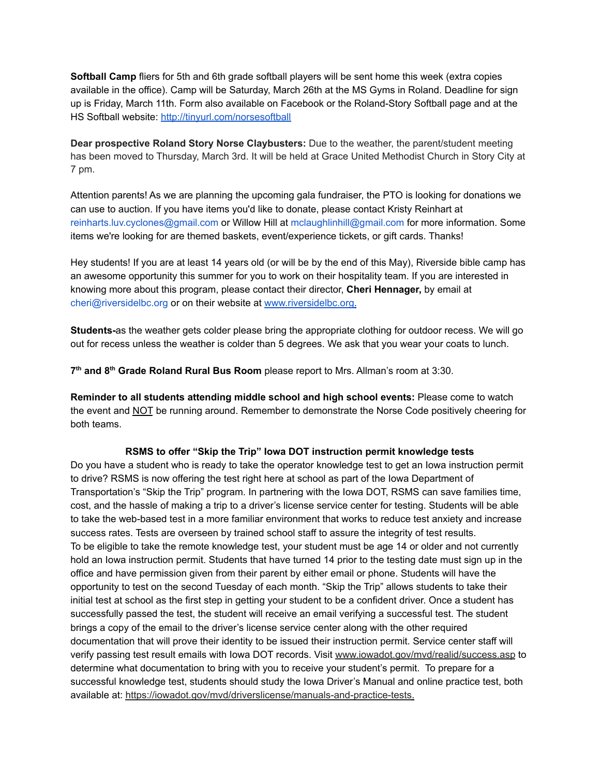**Softball Camp** fliers for 5th and 6th grade softball players will be sent home this week (extra copies available in the office). Camp will be Saturday, March 26th at the MS Gyms in Roland. Deadline for sign up is Friday, March 11th. Form also available on Facebook or the Roland-Story Softball page and at the HS Softball website: <http://tinyurl.com/norsesoftball>

**Dear prospective Roland Story Norse Claybusters:** Due to the weather, the parent/student meeting has been moved to Thursday, March 3rd. It will be held at Grace United Methodist Church in Story City at 7 pm.

Attention parents! As we are planning the upcoming gala fundraiser, the PTO is looking for donations we can use to auction. If you have items you'd like to donate, please contact Kristy Reinhart at reinharts.luv.cyclones@gmail.com or Willow Hill at mclaughlinhill@gmail.com for more information. Some items we're looking for are themed baskets, event/experience tickets, or gift cards. Thanks!

Hey students! If you are at least 14 years old (or will be by the end of this May), Riverside bible camp has an awesome opportunity this summer for you to work on their hospitality team. If you are interested in knowing more about this program, please contact their director, **Cheri Hennager,** by email at cheri@riversidelbc.org or on their website at [www.riversidelbc.org.](http://www.riversidelbc.org/)

**Students-**as the weather gets colder please bring the appropriate clothing for outdoor recess. We will go out for recess unless the weather is colder than 5 degrees. We ask that you wear your coats to lunch.

**7 th and 8 th Grade Roland Rural Bus Room** please report to Mrs. Allman's room at 3:30.

**Reminder to all students attending middle school and high school events:** Please come to watch the event and NOT be running around. Remember to demonstrate the Norse Code positively cheering for both teams.

## **RSMS to offer "Skip the Trip" Iowa DOT instruction permit knowledge tests**

Do you have a student who is ready to take the operator knowledge test to get an Iowa instruction permit to drive? RSMS is now offering the test right here at school as part of the Iowa Department of Transportation's "Skip the Trip" program. In partnering with the Iowa DOT, RSMS can save families time, cost, and the hassle of making a trip to a driver's license service center for testing. Students will be able to take the web-based test in a more familiar environment that works to reduce test anxiety and increase success rates. Tests are overseen by trained school staff to assure the integrity of test results. To be eligible to take the remote knowledge test, your student must be age 14 or older and not currently hold an Iowa instruction permit. Students that have turned 14 prior to the testing date must sign up in the office and have permission given from their parent by either email or phone. Students will have the opportunity to test on the second Tuesday of each month. "Skip the Trip" allows students to take their initial test at school as the first step in getting your student to be a confident driver. Once a student has successfully passed the test, the student will receive an email verifying a successful test. The student brings a copy of the email to the driver's license service center along with the other required documentation that will prove their identity to be issued their instruction permit. Service center staff will verify passing test result emails with Iowa DOT records. Visit [www.iowadot.gov/mvd/realid/success.asp](http://www.iowadot.gov/mvd/realid/success.asp) to determine what documentation to bring with you to receive your student's permit. To prepare for a successful knowledge test, students should study the Iowa Driver's Manual and online practice test, both available at: <https://iowadot.gov/mvd/driverslicense/manuals-and-practice-tests>.